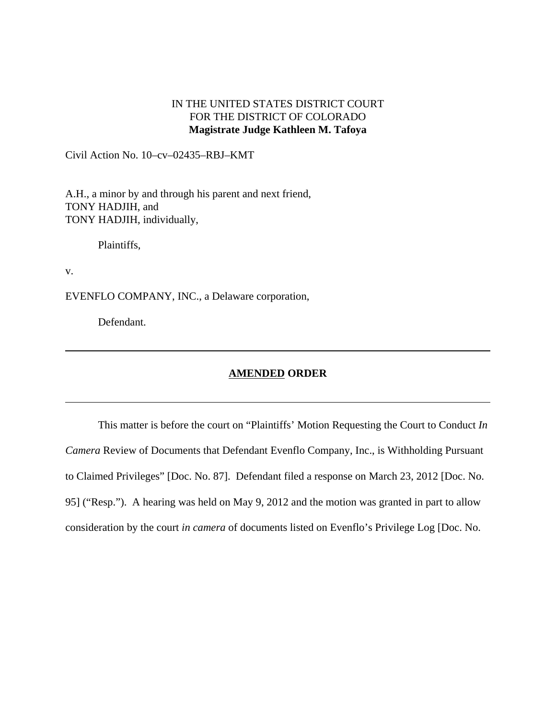## IN THE UNITED STATES DISTRICT COURT FOR THE DISTRICT OF COLORADO **Magistrate Judge Kathleen M. Tafoya**

Civil Action No. 10–cv–02435–RBJ–KMT

A.H., a minor by and through his parent and next friend, TONY HADJIH, and TONY HADJIH, individually,

Plaintiffs,

v.

EVENFLO COMPANY, INC., a Delaware corporation,

Defendant.

## **AMENDED ORDER**

This matter is before the court on "Plaintiffs' Motion Requesting the Court to Conduct *In Camera* Review of Documents that Defendant Evenflo Company, Inc., is Withholding Pursuant to Claimed Privileges" [Doc. No. 87]. Defendant filed a response on March 23, 2012 [Doc. No. 95] ("Resp."). A hearing was held on May 9, 2012 and the motion was granted in part to allow consideration by the court *in camera* of documents listed on Evenflo's Privilege Log [Doc. No.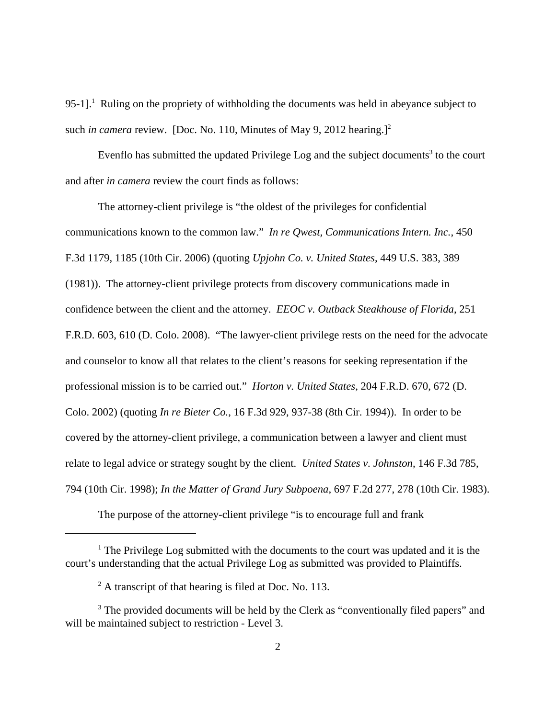95-1].<sup>1</sup> Ruling on the propriety of withholding the documents was held in abeyance subject to such *in camera* review. [Doc. No. 110, Minutes of May 9, 2012 hearing.]<sup>2</sup>

Evenflo has submitted the updated Privilege Log and the subject documents<sup>3</sup> to the court and after *in camera* review the court finds as follows:

The attorney-client privilege is "the oldest of the privileges for confidential communications known to the common law." *In re Qwest, Communications Intern. Inc.*, 450 F.3d 1179, 1185 (10th Cir. 2006) (quoting *Upjohn Co. v. United States*, 449 U.S. 383, 389 (1981)). The attorney-client privilege protects from discovery communications made in confidence between the client and the attorney. *EEOC v. Outback Steakhouse of Florida*, 251 F.R.D. 603, 610 (D. Colo. 2008). "The lawyer-client privilege rests on the need for the advocate and counselor to know all that relates to the client's reasons for seeking representation if the professional mission is to be carried out." *Horton v. United States*, 204 F.R.D. 670, 672 (D. Colo. 2002) (quoting *In re Bieter Co.*, 16 F.3d 929, 937-38 (8th Cir. 1994)). In order to be covered by the attorney-client privilege, a communication between a lawyer and client must relate to legal advice or strategy sought by the client. *United States v. Johnston*, 146 F.3d 785, 794 (10th Cir. 1998); *In the Matter of Grand Jury Subpoena*, 697 F.2d 277, 278 (10th Cir. 1983).

The purpose of the attorney-client privilege "is to encourage full and frank

<sup>&</sup>lt;sup>1</sup> The Privilege Log submitted with the documents to the court was updated and it is the court's understanding that the actual Privilege Log as submitted was provided to Plaintiffs.

 $2^2$  A transcript of that hearing is filed at Doc. No. 113.

<sup>&</sup>lt;sup>3</sup> The provided documents will be held by the Clerk as "conventionally filed papers" and will be maintained subject to restriction - Level 3.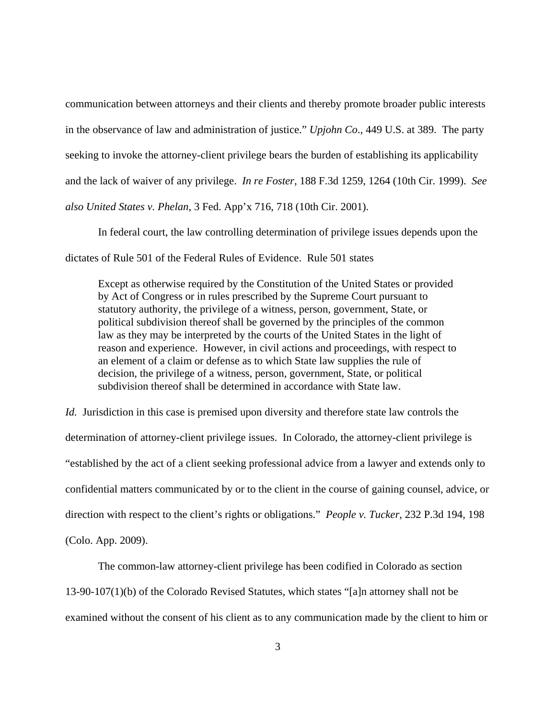communication between attorneys and their clients and thereby promote broader public interests in the observance of law and administration of justice." *Upjohn Co*., 449 U.S. at 389. The party seeking to invoke the attorney-client privilege bears the burden of establishing its applicability and the lack of waiver of any privilege. *In re Foster*, 188 F.3d 1259, 1264 (10th Cir. 1999). *See also United States v. Phelan*, 3 Fed. App'x 716, 718 (10th Cir. 2001).

In federal court, the law controlling determination of privilege issues depends upon the dictates of Rule 501 of the Federal Rules of Evidence. Rule 501 states

Except as otherwise required by the Constitution of the United States or provided by Act of Congress or in rules prescribed by the Supreme Court pursuant to statutory authority, the privilege of a witness, person, government, State, or political subdivision thereof shall be governed by the principles of the common law as they may be interpreted by the courts of the United States in the light of reason and experience. However, in civil actions and proceedings, with respect to an element of a claim or defense as to which State law supplies the rule of decision, the privilege of a witness, person, government, State, or political subdivision thereof shall be determined in accordance with State law.

*Id.* Jurisdiction in this case is premised upon diversity and therefore state law controls the determination of attorney-client privilege issues. In Colorado, the attorney-client privilege is "established by the act of a client seeking professional advice from a lawyer and extends only to confidential matters communicated by or to the client in the course of gaining counsel, advice, or direction with respect to the client's rights or obligations." *People v. Tucker*, 232 P.3d 194, 198 (Colo. App. 2009).

The common-law attorney-client privilege has been codified in Colorado as section 13-90-107(1)(b) of the Colorado Revised Statutes, which states "[a]n attorney shall not be examined without the consent of his client as to any communication made by the client to him or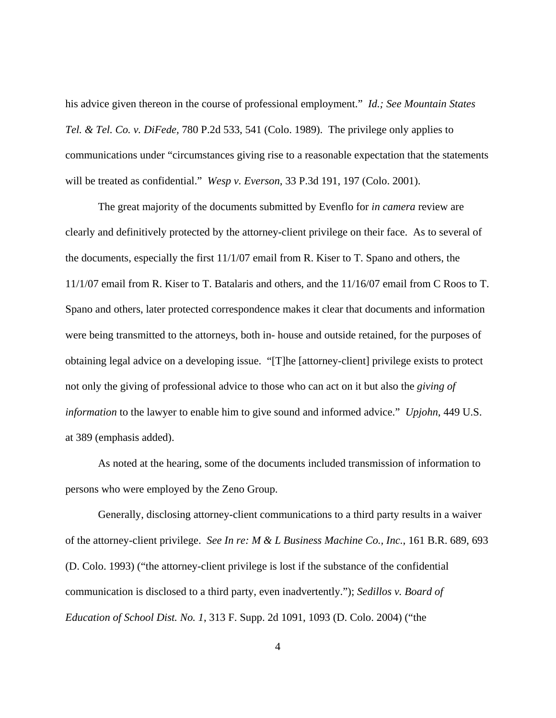his advice given thereon in the course of professional employment." *Id.; See Mountain States Tel. & Tel. Co. v. DiFede,* 780 P.2d 533, 541 (Colo. 1989). The privilege only applies to communications under "circumstances giving rise to a reasonable expectation that the statements will be treated as confidential." *Wesp v. Everson*, 33 P.3d 191, 197 (Colo. 2001).

The great majority of the documents submitted by Evenflo for *in camera* review are clearly and definitively protected by the attorney-client privilege on their face. As to several of the documents, especially the first 11/1/07 email from R. Kiser to T. Spano and others, the 11/1/07 email from R. Kiser to T. Batalaris and others, and the 11/16/07 email from C Roos to T. Spano and others, later protected correspondence makes it clear that documents and information were being transmitted to the attorneys, both in- house and outside retained, for the purposes of obtaining legal advice on a developing issue. "[T]he [attorney-client] privilege exists to protect not only the giving of professional advice to those who can act on it but also the *giving of information* to the lawyer to enable him to give sound and informed advice." *Upjohn*, 449 U.S. at 389 (emphasis added).

As noted at the hearing, some of the documents included transmission of information to persons who were employed by the Zeno Group.

Generally, disclosing attorney-client communications to a third party results in a waiver of the attorney-client privilege. *See In re: M & L Business Machine Co., Inc.*, 161 B.R. 689, 693 (D. Colo. 1993) ("the attorney-client privilege is lost if the substance of the confidential communication is disclosed to a third party, even inadvertently."); *Sedillos v. Board of Education of School Dist. No. 1*, 313 F. Supp. 2d 1091, 1093 (D. Colo. 2004) ("the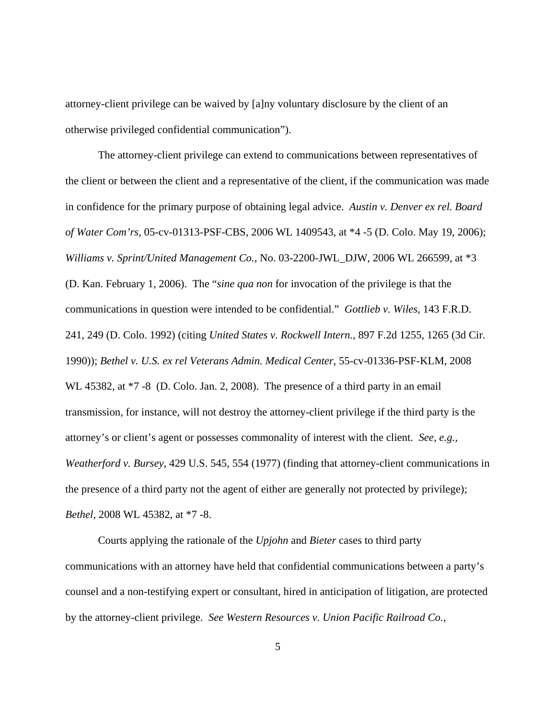attorney-client privilege can be waived by [a]ny voluntary disclosure by the client of an otherwise privileged confidential communication").

The attorney-client privilege can extend to communications between representatives of the client or between the client and a representative of the client, if the communication was made in confidence for the primary purpose of obtaining legal advice. *Austin v. Denver ex rel. Board of Water Com'rs,* 05-cv-01313-PSF-CBS, 2006 WL 1409543, at \*4 -5 (D. Colo. May 19, 2006); *Williams v. Sprint/United Management Co.,* No. 03-2200-JWL\_DJW, 2006 WL 266599, at \*3 (D. Kan. February 1, 2006). The "*sine qua non* for invocation of the privilege is that the communications in question were intended to be confidential." *Gottlieb v. Wiles*, 143 F.R.D. 241, 249 (D. Colo. 1992) (citing *United States v. Rockwell Intern.*, 897 F.2d 1255, 1265 (3d Cir. 1990)); *Bethel v. U.S. ex rel Veterans Admin. Medical Center*, 55-cv-01336-PSF-KLM, 2008 WL 45382, at  $*7 - 8$  (D. Colo. Jan. 2, 2008). The presence of a third party in an email transmission, for instance, will not destroy the attorney-client privilege if the third party is the attorney's or client's agent or possesses commonality of interest with the client. *See, e.g., Weatherford v. Bursey*, 429 U.S. 545, 554 (1977) (finding that attorney-client communications in the presence of a third party not the agent of either are generally not protected by privilege); *Bethel,* 2008 WL 45382, at \*7 -8.

Courts applying the rationale of the *Upjohn* and *Bieter* cases to third party communications with an attorney have held that confidential communications between a party's counsel and a non-testifying expert or consultant, hired in anticipation of litigation, are protected by the attorney-client privilege. *See Western Resources v. Union Pacific Railroad Co.*,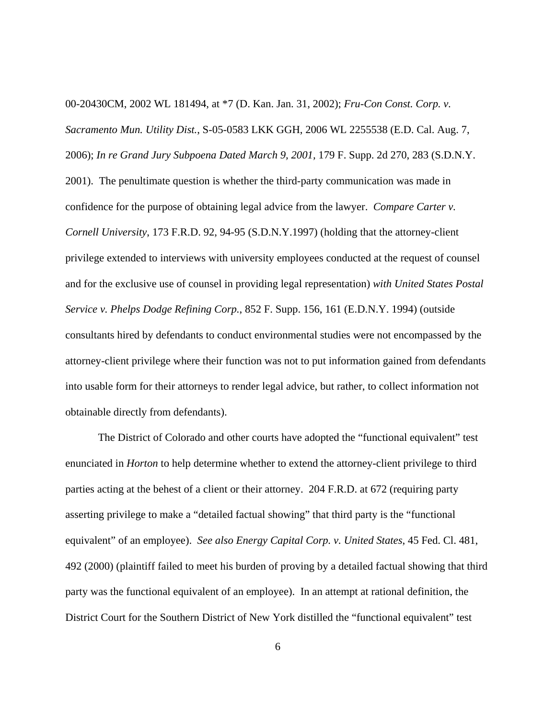00-20430CM, 2002 WL 181494, at \*7 (D. Kan. Jan. 31, 2002); *Fru-Con Const. Corp. v. Sacramento Mun. Utility Dist.*, S-05-0583 LKK GGH, 2006 WL 2255538 (E.D. Cal. Aug. 7, 2006); *In re Grand Jury Subpoena Dated March 9, 2001,* 179 F. Supp. 2d 270, 283 (S.D.N.Y. 2001). The penultimate question is whether the third-party communication was made in confidence for the purpose of obtaining legal advice from the lawyer. *Compare Carter v. Cornell University*, 173 F.R.D. 92, 94-95 (S.D.N.Y.1997) (holding that the attorney-client privilege extended to interviews with university employees conducted at the request of counsel and for the exclusive use of counsel in providing legal representation) *with United States Postal Service v. Phelps Dodge Refining Corp.*, 852 F. Supp. 156, 161 (E.D.N.Y. 1994) (outside consultants hired by defendants to conduct environmental studies were not encompassed by the attorney-client privilege where their function was not to put information gained from defendants into usable form for their attorneys to render legal advice, but rather, to collect information not obtainable directly from defendants).

The District of Colorado and other courts have adopted the "functional equivalent" test enunciated in *Horton* to help determine whether to extend the attorney-client privilege to third parties acting at the behest of a client or their attorney. 204 F.R.D. at 672 (requiring party asserting privilege to make a "detailed factual showing" that third party is the "functional equivalent" of an employee). *See also Energy Capital Corp. v. United States*, 45 Fed. Cl. 481, 492 (2000) (plaintiff failed to meet his burden of proving by a detailed factual showing that third party was the functional equivalent of an employee). In an attempt at rational definition, the District Court for the Southern District of New York distilled the "functional equivalent" test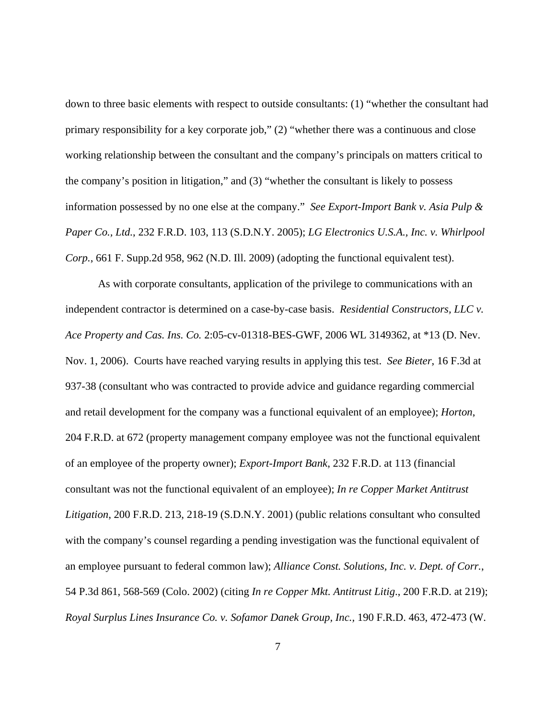down to three basic elements with respect to outside consultants: (1) "whether the consultant had primary responsibility for a key corporate job," (2) "whether there was a continuous and close working relationship between the consultant and the company's principals on matters critical to the company's position in litigation," and (3) "whether the consultant is likely to possess information possessed by no one else at the company." *See Export-Import Bank v. Asia Pulp & Paper Co., Ltd.*, 232 F.R.D. 103, 113 (S.D.N.Y. 2005); *LG Electronics U.S.A., Inc. v. Whirlpool Corp.*, 661 F. Supp.2d 958, 962 (N.D. Ill. 2009) (adopting the functional equivalent test).

As with corporate consultants, application of the privilege to communications with an independent contractor is determined on a case-by-case basis. *Residential Constructors, LLC v. Ace Property and Cas. Ins. Co.* 2:05-cv-01318-BES-GWF, 2006 WL 3149362, at \*13 (D. Nev. Nov. 1, 2006). Courts have reached varying results in applying this test. *See Bieter*, 16 F.3d at 937-38 (consultant who was contracted to provide advice and guidance regarding commercial and retail development for the company was a functional equivalent of an employee); *Horton*, 204 F.R.D. at 672 (property management company employee was not the functional equivalent of an employee of the property owner); *Export-Import Bank*, 232 F.R.D. at 113 (financial consultant was not the functional equivalent of an employee); *In re Copper Market Antitrust Litigation*, 200 F.R.D. 213, 218-19 (S.D.N.Y. 2001) (public relations consultant who consulted with the company's counsel regarding a pending investigation was the functional equivalent of an employee pursuant to federal common law); *Alliance Const. Solutions, Inc. v. Dept. of Corr.*, 54 P.3d 861, 568-569 (Colo. 2002) (citing *In re Copper Mkt. Antitrust Litig*., 200 F.R.D. at 219); *Royal Surplus Lines Insurance Co. v. Sofamor Danek Group, Inc.,* 190 F.R.D. 463, 472-473 (W.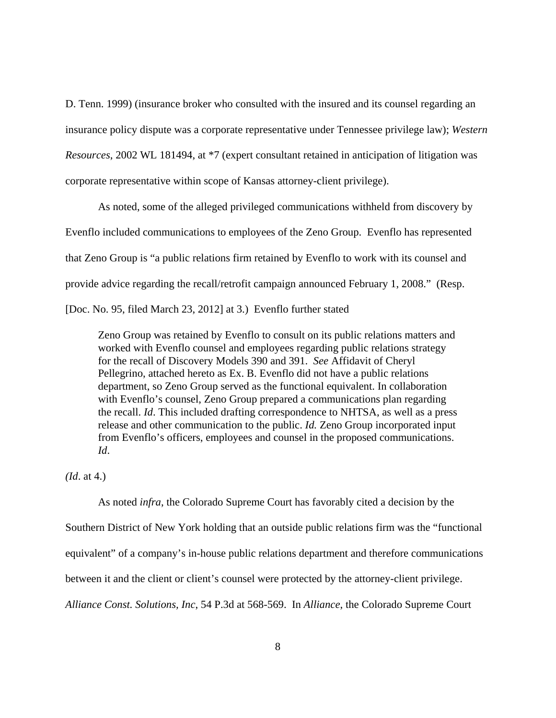D. Tenn. 1999) (insurance broker who consulted with the insured and its counsel regarding an insurance policy dispute was a corporate representative under Tennessee privilege law); *Western Resources*, 2002 WL 181494, at \*7 (expert consultant retained in anticipation of litigation was corporate representative within scope of Kansas attorney-client privilege).

As noted, some of the alleged privileged communications withheld from discovery by Evenflo included communications to employees of the Zeno Group. Evenflo has represented that Zeno Group is "a public relations firm retained by Evenflo to work with its counsel and provide advice regarding the recall/retrofit campaign announced February 1, 2008." (Resp. [Doc. No. 95, filed March 23, 2012] at 3.) Evenflo further stated

Zeno Group was retained by Evenflo to consult on its public relations matters and worked with Evenflo counsel and employees regarding public relations strategy for the recall of Discovery Models 390 and 391. *See* Affidavit of Cheryl Pellegrino, attached hereto as Ex. B. Evenflo did not have a public relations department, so Zeno Group served as the functional equivalent. In collaboration with Evenflo's counsel, Zeno Group prepared a communications plan regarding the recall. *Id*. This included drafting correspondence to NHTSA, as well as a press release and other communication to the public. *Id.* Zeno Group incorporated input from Evenflo's officers, employees and counsel in the proposed communications. *Id*.

*(Id*. at 4.)

As noted *infra*, the Colorado Supreme Court has favorably cited a decision by the Southern District of New York holding that an outside public relations firm was the "functional equivalent" of a company's in-house public relations department and therefore communications between it and the client or client's counsel were protected by the attorney-client privilege. *Alliance Const. Solutions, Inc*, 54 P.3d at 568-569. In *Alliance*, the Colorado Supreme Court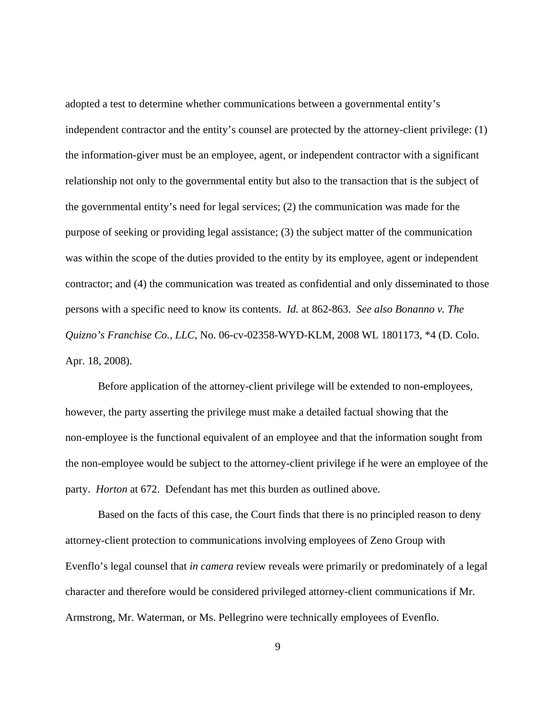adopted a test to determine whether communications between a governmental entity's independent contractor and the entity's counsel are protected by the attorney-client privilege: (1) the information-giver must be an employee, agent, or independent contractor with a significant relationship not only to the governmental entity but also to the transaction that is the subject of the governmental entity's need for legal services; (2) the communication was made for the purpose of seeking or providing legal assistance; (3) the subject matter of the communication was within the scope of the duties provided to the entity by its employee, agent or independent contractor; and (4) the communication was treated as confidential and only disseminated to those persons with a specific need to know its contents. *Id.* at 862-863. *See also Bonanno v. The Quizno's Franchise Co., LLC*, No. 06-cv-02358-WYD-KLM, 2008 WL 1801173, \*4 (D. Colo. Apr. 18, 2008).

Before application of the attorney-client privilege will be extended to non-employees, however, the party asserting the privilege must make a detailed factual showing that the non-employee is the functional equivalent of an employee and that the information sought from the non-employee would be subject to the attorney-client privilege if he were an employee of the party. *Horton* at 672. Defendant has met this burden as outlined above.

Based on the facts of this case, the Court finds that there is no principled reason to deny attorney-client protection to communications involving employees of Zeno Group with Evenflo's legal counsel that *in camera* review reveals were primarily or predominately of a legal character and therefore would be considered privileged attorney-client communications if Mr. Armstrong, Mr. Waterman, or Ms. Pellegrino were technically employees of Evenflo.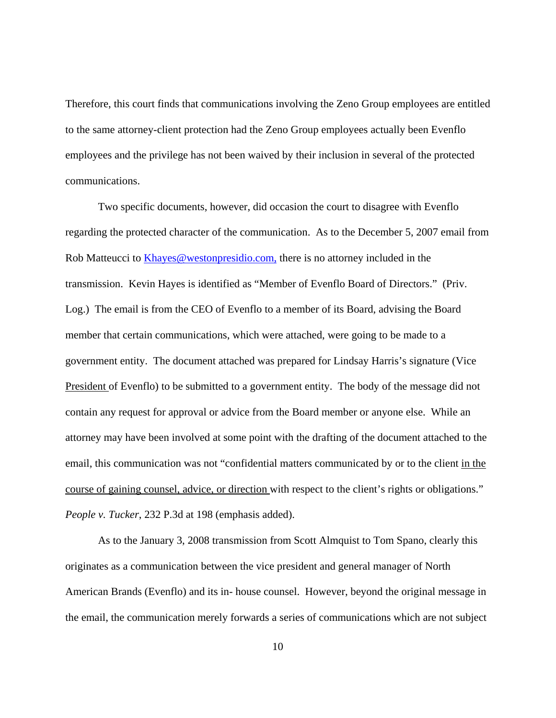Therefore, this court finds that communications involving the Zeno Group employees are entitled to the same attorney-client protection had the Zeno Group employees actually been Evenflo employees and the privilege has not been waived by their inclusion in several of the protected communications.

Two specific documents, however, did occasion the court to disagree with Evenflo regarding the protected character of the communication. As to the December 5, 2007 email from Rob Matteucci to Khayes@westonpresidio.com, there is no attorney included in the transmission. Kevin Hayes is identified as "Member of Evenflo Board of Directors." (Priv. Log.) The email is from the CEO of Evenflo to a member of its Board, advising the Board member that certain communications, which were attached, were going to be made to a government entity. The document attached was prepared for Lindsay Harris's signature (Vice President of Evenflo) to be submitted to a government entity. The body of the message did not contain any request for approval or advice from the Board member or anyone else. While an attorney may have been involved at some point with the drafting of the document attached to the email, this communication was not "confidential matters communicated by or to the client in the course of gaining counsel, advice, or direction with respect to the client's rights or obligations." *People v. Tucker*, 232 P.3d at 198 (emphasis added).

As to the January 3, 2008 transmission from Scott Almquist to Tom Spano, clearly this originates as a communication between the vice president and general manager of North American Brands (Evenflo) and its in- house counsel. However, beyond the original message in the email, the communication merely forwards a series of communications which are not subject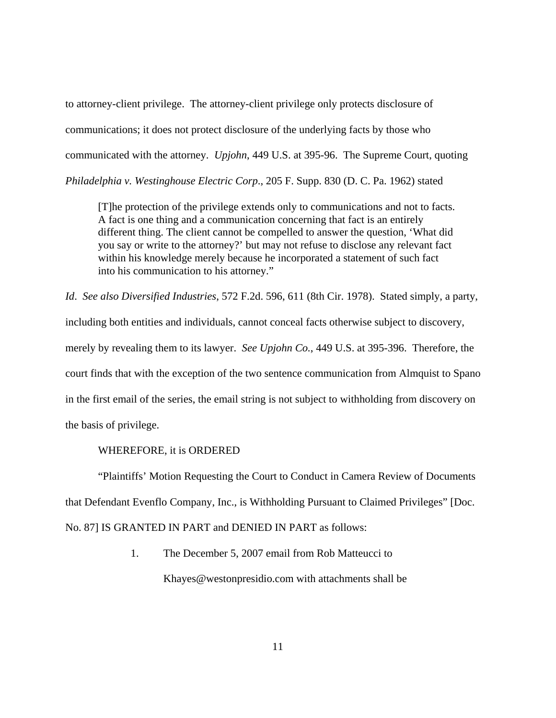to attorney-client privilege. The attorney-client privilege only protects disclosure of communications; it does not protect disclosure of the underlying facts by those who communicated with the attorney. *Upjohn*, 449 U.S. at 395-96. The Supreme Court, quoting *Philadelphia v. Westinghouse Electric Corp*., 205 F. Supp. 830 (D. C. Pa. 1962) stated

[T]he protection of the privilege extends only to communications and not to facts. A fact is one thing and a communication concerning that fact is an entirely different thing. The client cannot be compelled to answer the question, 'What did you say or write to the attorney?' but may not refuse to disclose any relevant fact within his knowledge merely because he incorporated a statement of such fact into his communication to his attorney."

*Id*. *See also Diversified Industries*, 572 F.2d. 596, 611 (8th Cir. 1978). Stated simply, a party, including both entities and individuals, cannot conceal facts otherwise subject to discovery, merely by revealing them to its lawyer. *See Upjohn Co.*, 449 U.S. at 395-396. Therefore, the court finds that with the exception of the two sentence communication from Almquist to Spano in the first email of the series, the email string is not subject to withholding from discovery on the basis of privilege.

## WHEREFORE, it is ORDERED

"Plaintiffs' Motion Requesting the Court to Conduct in Camera Review of Documents that Defendant Evenflo Company, Inc., is Withholding Pursuant to Claimed Privileges" [Doc. No. 87] IS GRANTED IN PART and DENIED IN PART as follows:

> 1. The December 5, 2007 email from Rob Matteucci to Khayes@westonpresidio.com with attachments shall be